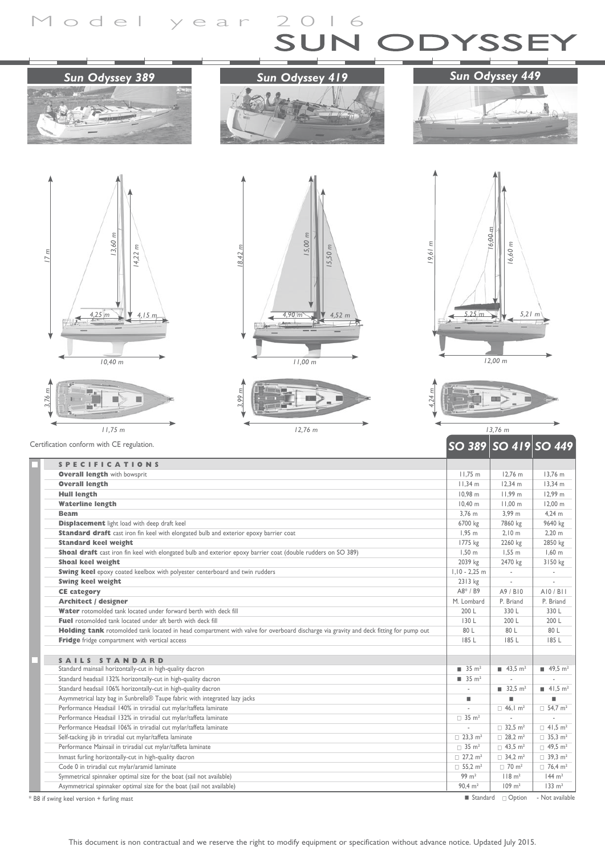## Model year 2016  $\overline{\phantom{0}}$





## *Sun Odyssey 449*





 $15,00 \; m$ **12,76 m**<br>
12,76 m *15,50 m 18,42 m 4,90 m 4,52 m 11,00 m*







**SO 389** SO 419 S

|                                                                                                                                       |                                  | ∕ דד טנן ∕ וד טנן ∕ טנ             |                            |
|---------------------------------------------------------------------------------------------------------------------------------------|----------------------------------|------------------------------------|----------------------------|
| <b>SPECIFICATIONS</b>                                                                                                                 |                                  |                                    |                            |
| <b>Overall length with bowsprit</b>                                                                                                   | $11.75$ m                        | $12.76$ m                          | 13.76 m                    |
| <b>Overall length</b>                                                                                                                 | 11.34 m                          | 12.34 m                            | 13.34 m                    |
| <b>Hull length</b>                                                                                                                    | 10.98 m                          | 11.99 m                            | 12.99 m                    |
| <b>Waterline length</b>                                                                                                               | 10.40 m                          | 11.00 m                            | 12.00 m                    |
| <b>Beam</b>                                                                                                                           | 3.76 m                           | 3.99 m                             | 4.24 m                     |
| <b>Displacement</b> light load with deep draft keel                                                                                   | 6700 kg                          | 7860 kg                            | 9640 kg                    |
| Standard draft cast iron fin keel with elongated bulb and exterior epoxy barrier coat                                                 | 1.95 <sub>m</sub>                | 2.10 <sub>m</sub>                  | 2.20 m                     |
| <b>Standard keel weight</b>                                                                                                           | 1775 kg                          | 2260 kg                            | 2850 kg                    |
| Shoal draft cast iron fin keel with elongated bulb and exterior epoxy barrier coat (double rudders on SO 389)                         | 1.50 <sub>m</sub>                | 1.55 <sub>m</sub>                  | 1.60 <sub>m</sub>          |
| <b>Shoal keel weight</b>                                                                                                              | 2039 kg                          | 2470 kg                            | 3150 kg                    |
| Swing keel epoxy coated keelbox with polyester centerboard and twin rudders                                                           | $1.10 - 2.25$ m                  | $\sim$                             |                            |
| <b>Swing keel weight</b>                                                                                                              | 2313 kg                          |                                    |                            |
| <b>CE</b> category                                                                                                                    | $AB* / B9$                       | A9 / B10                           | AIO/BII                    |
| <b>Architect / designer</b>                                                                                                           | M. Lombard                       | P. Briand                          | P. Briand                  |
| Water rotomolded tank located under forward berth with deck fill                                                                      | 200 L                            | 330 L                              | 330 L                      |
| Fuel rotomolded tank located under aft berth with deck fill                                                                           | 130 L                            | 200 L                              | 200 L                      |
| Holding tank rotomolded tank located in head compartment with valve for overboard discharge via gravity and deck fitting for pump out | 80 L                             | 80 L                               | 80 L                       |
| Fridge fridge compartment with vertical access                                                                                        | 185 L                            | 185 L                              | 185 L                      |
| SAILS STANDARD                                                                                                                        |                                  |                                    |                            |
| Standard mainsail horizontally-cut in high-quality dacron                                                                             | $\blacksquare$ 35 m <sup>2</sup> | $\blacksquare$ 43,5 m <sup>2</sup> | 12.49.5 m <sup>2</sup>     |
| Standard headsail 132% horizontally-cut in high-quality dacron                                                                        | $\blacksquare$ 35 m <sup>2</sup> |                                    |                            |
| Standard headsail 106% horizontally-cut in high-quality dacron                                                                        |                                  | $\blacksquare$ 32.5 m <sup>2</sup> | 1.5 m <sup>2</sup>         |
| Asymmetrical lazy bag in Sunbrella® Taupe fabric with integrated lazy jacks                                                           | ٠                                | ٠                                  |                            |
| Performance Headsail 140% in triradial cut mylar/taffeta laminate                                                                     |                                  | $\Box$ 46.1 m <sup>2</sup>         | $\Box$ 54.7 m <sup>2</sup> |
| Performance Headsail 132% in triradial cut mylar/taffeta laminate                                                                     | $\Box$ 35 m <sup>2</sup>         |                                    |                            |
| Performance Headsail 106% in triradial cut mylar/taffeta laminate                                                                     |                                  | $\Box$ 32.5 m <sup>2</sup>         | $\Box$ 41.5 m <sup>2</sup> |
| Self-tacking jib in triradial cut mylar/taffeta laminate                                                                              | $\Box$ 23.3 m <sup>2</sup>       | $\Box$ 28,2 m <sup>2</sup>         | $\Box$ 35.3 m <sup>2</sup> |
| Performance Mainsail in triradial cut mylar/taffeta laminate                                                                          | $\Box$ 35 m <sup>2</sup>         | $\Box$ 43.5 m <sup>2</sup>         | $\Box$ 49.5 m <sup>2</sup> |
| Inmast furling horizontally-cut in high-quality dacron                                                                                | $\Box$ 27.2 m <sup>2</sup>       | $\Box$ 34.2 m <sup>2</sup>         | $\Box$ 39.3 m <sup>2</sup> |
| Code 0 in triradial cut mylar/aramid laminate                                                                                         | $\Box$ 55.2 m <sup>2</sup>       | $\Box$ 70 m <sup>2</sup>           | $\Box$ 76,4 m <sup>2</sup> |
| Symmetrical spinnaker optimal size for the boat (sail not available)                                                                  | $99 \text{ m}^2$                 | $118 \text{ m}^2$                  | $144 \text{ m}^2$          |
| Asymmetrical spinnaker optimal size for the boat (sail not available)                                                                 | $90.4 \text{ m}^2$               | $109 \text{ m}^2$                  | $133 \text{ m}^2$          |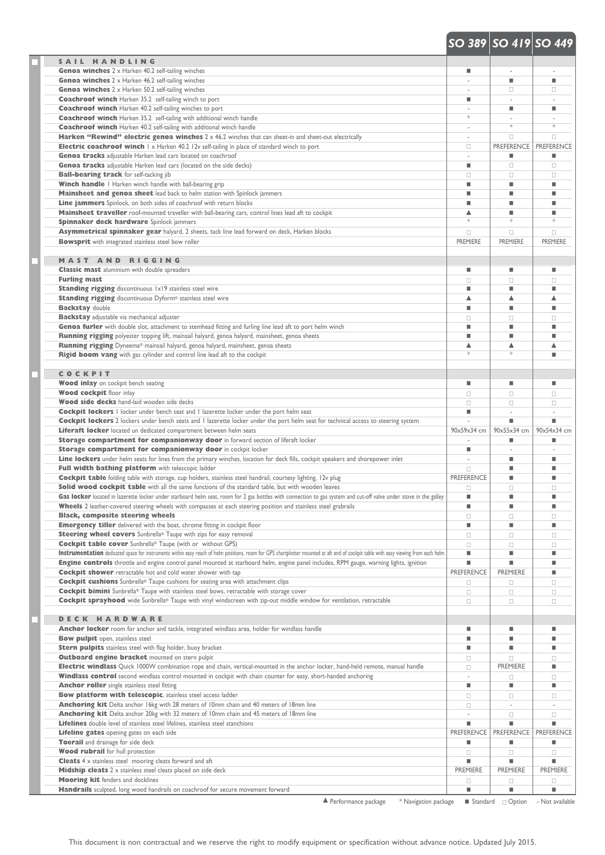## **S AIL HANDLING Genoa winches** 2 x Harken 40.2 self-tailing winches **and the self-tailing winches** and the self-tailing winches and the self-tailing winches **and the self-tailing winches** and the self-tailing winches and the self-tailing Genoa winches 2 x Harken 46.2 self-tailing winches **and a self-tailing winches** and a self-tailing winches and a self-tailing winches and a self-tailing winches **and a self-tailing winches** and a self-tailing winches and a **Genoa winches** 2 x Harken 50.2 self-tailing winches **Camera Community Community Community Community Community Community Community Community Community Community Community Community Community Community Community Community C Coachroof winch** Harken 35.2 self-tailing winch to port **Coachroof winch** Harken 40.2 self-tailing winches to port **and the experimental control of the experimental control of the experimental control of the experimental control of the experimental control of the experimental c Coachroof winch** Harken 35.2 self-tailing with additional winch handle **Coachroof winch** Harken 40.2 self-tailing with additional winch handle - \* \* **Harken "Rewind" electric genoa winches** 2 x 46.2 winches that can sheet-in and sheet-out electrically **Electric coachroof winch** 1 x Harken 40.2 12v self-tailing in place of standard winch to port **complex and any self-tailing in place** of standard winch to port **Genoa tracks** adjustable Harken lead cars located on coachroof  $\blacksquare$ **Genoa tracks** adjustable Harken lead cars (located on the side decks)  $\Box$   $\Box$ **Ball-bearing track** for self-tacking jib contained by containing track of containing track for self-tacking jib **Winch handle** I Harken winch handle with ball-bearing grip **and the contract of the contract of the contract of the contract of the contract of the contract of the contract of the contract of the contract of the contract Mainsheet and genoa sheet** lead back to helm station with Spinlock jammers **and a station of the station of the station of the station of the station of the station of the station of the station of the station of the stat Line jammers** Spinlock, on both sides of coachroof with return blocks and the state of the state of the state of coachroof with return blocks and the state of the state of the state of coachroof with return blocks and the **Mainsheet traveller** roof-mounted traveller with ball-bearing cars, control lines lead aft to cockpit s and solid state of the state of the state of the state of the state of the state of the state of the state of the sta **Spinnaker deck hardware** Spinlock jammers **Asymmetrical spinnaker gear** halyard, 2 sheets, tack line lead forward on deck, Harken blocks contained a community of contained a community of contained a contained a contained a contained a contained a contained a conta **Bowsprit** with integrated stainless steel bow roller **PREMIERE PREMIERE PREMIERE** PREMIERE PREMIERE PREMIERE **MAST AND RIGGING Classic mast** aluminium with double spreaders **and the contract of the contract of the contract of the contract of the contract of the contract of the contract of the contract of the contract of the contract of the contra Furling mast** contract the contract contract contract contract contract contract contract contract contract contract contract contract contract contract contract contract contract contract contract contract contract contr Standing rigging discontinuous 1x19 stainless steel wire the contract of the contract of the contract of the contract of the contract of the contract of the contract of the contract of the contract of the contract of the c **Standing rigging** discontinuous Dyform® stainless steel wire s s s **Backstay** double **the contract of the contract of the contract of the contract of the contract of the contract of the contract of the contract of the contract of the contract of the contract of the contract of the contrac Backstay** adjustable via mechanical adjuster Genoa furler with double slot, attachment to stemhead fitting and furling line lead aft to port helm winch **Winch Constanting and further** winch **Winch Constanting and further** winch **Winch Constanting and further** winch **Running rigging** polyester topping lift, mainsail halyard, genoa halyard, mainsheet, genoa sheets **and a sheet of the controller of the controller of the controller of the controller controller controller in the controlle Running rigging** Dyneema® mainsail halyard, genoa halyard, mainsheet, genoa sheets s s s **Rigid boom vang** with gas cylinder and control line lead aft to the cockpit **and a set of the control line lead aft to the cockpit and control interval and control line** lead aft to the cockpit **COCKPIT Wood inlay** on cockpit bench seating the seated of the seated of the seated of the seated of the seated of the seated of the seated of the seated of the seated of the seated of the seated of the seated of the seated of th **Wood cockpit** floor inlay contract contract contract contract contract contract contract contract contract contract contract contract contract contract contract contract contract contract contract contract contract contr **Wood side decks** hand-laid wooden side decks contact contact contact contact contact contact contact contact contact contact contact contact contact contact contact contact contact contact contact contact contact contact **Cockpit lockers** 1 locker under bench seat and 1 lazerette locker under the port helm seat  $\blacksquare$ **Cockpit lockers** 2 lockers under bench seats and 1 lazerette locker under the port helm seat for technical access to steering system - **Interpretental access** Liferaft locker located un dedicated compartment between helm seats 90x59x34 cm 90x55x34 cm 90x55x34 cm 90x54x34 cm **Storage compartment for companionway door** in forward section of liferaft locker **1999** - **Example 2014 Storage compartment for companionway door** in cockpit locker **and the state of the state of the state of the state of the state of the state of the state of the state of the state of the state of the state of the state of** Line lockers under helm seats for lines from the primary winches, location for deck fills, cockpit speakers and shorepower inlet **and the state of the state of the state of the state of the state of the state of the state Full width bathing platform** with telescopic ladder <sup>c</sup> < < **Cockpit table** folding table with storage, cup holders, stainless steel handrail, courtesy lighting, 12v plug **PREFERENCE** PREFERENCE PREFERENCE Solid wood cockpit table with all the same functions of the standard table, but with wooden leaves Gas locker located in lazerette locker under starboard helm seat, room for 2 gas bottles with connection to gas system and cut-off valve under stove in the galley **and the system and cut-off** valve under stove in the galle Wheels 2 leather-covered steering wheels with compasses at each steering position and stainless steel grabrails **EXAMPLE ADMONDER COVER AND READ FOR A READ FIGURER Black, composite steering wheels** composite steering wheels composite  $\Box$ **Emergency tiller** delivered with the boat, chrome fitting in cockpit floor **and the contract of the contract of the contract of the contract of the contract of the contract of the contract of the contract of the contract Steering wheel covers** Sunbrella® Taupe with zips for easy removal <sup>c</sup> <sup>c</sup> <sup>c</sup> **Cockpit table cover** Sunbrella® Taupe (with or without GPS) contract contract contract contract contract contract contract contract contract contract contract contract contract contract contract contract contract contract Instrumentation dedicated space for instruments within easy reach of helm positions, room for GPS chartplotter mounted at aft end of cockpit table with easy viewing from each helm **and the state of the cockpit of the state Engine controls** throttle and engine control panel mounted at starboard helm, engine panel includes, RPM gauge, warning lights, ignition **and the controls Cockpit shower** retractable hot and cold water shower with tap **PREFERENCE** PREMIERE PREMIERE **PREMIERE Cockpit cushions** Sunbrella® Taupe cushions for seating area with attachment clips <sup>c</sup> <sup>c</sup> <sup>c</sup> **Cockpit bimini** Sunbrella® Taupe with stainless steel bows, retractable with storage cover contract contract contract contract contract contract contract contract contract contract contract contract contract contract cont **Cockpit sprayhood** wide Sunbrella® Taupe with vinyl windscreen with zip-out middle window for ventilation, retractable <sup>c</sup> <sup>c</sup> <sup>c</sup> **DECK HARDWARE Anchor locker** room for anchor and tackle, integrated windlass area, holder for windlass handle **EXECUTE CONSUMER CONSUMER CONSUMER CONSUMER CONSUMER CONSUMER CONSUMER CONSUMER CONSUMER CONSUMER CONSUMER CONSUMER CONSUMER Bow pulpit** open, stainless steel **and the state of the state of the state of the state of the state of the state of the state of the state of the state of the state of the state of the state of the state of the state of** Stern pulpits stainless steel with flag holder, buoy bracket **and a state of the state of the state of the state of the state of the state of the state of the state of the state of the state of the state of the state of th Outboard engine bracket** mounted on stern pulpit <sup>c</sup> <sup>c</sup> <sup>c</sup> **Electric windlass** Quick 1000W combination rope and chain, vertical-mounted in the anchor locker, hand-held remote, manual handle <sup>p</sup> **Windlass control** second windlass control mounted in cockpit with chain counter for easy, short-handed anchoring **control** control **Anchor roller** single stainless steel fitting  $\blacksquare$ **Bow platform with telescopic**, stainless steel access ladder <sup>c</sup> <sup>c</sup> <sup>c</sup> **Anchoring kit** Delta anchor 16kg with 28 meters of 10mm chain and 40 meters of 18mm line <sup>c</sup> - - **Anchoring kit** Delta anchor 20kg with 32 meters of 10mm chain and 45 meters of 18mm line - <sup>c</sup> <sup>c</sup> Lifelines double level of stainless steel lifelines, stainless steel stanchions **and the state of stanchions and the standard and the standard standard and the standard standard metallicity and the standard metallicity o Lifeline gates** opening gates on each side **PREFERENCE PREFERENCE PREFERENCE** PREFERENCE **Toerail** and drainage for side deck  $\blacksquare$ **Wood rubrail** for hull protection contract contract contract contract contract contract contract contract contract contract contract contract contract contract contract contract contract contract contract contract contrac **Cleats** 4 x stainless steel mooring cleats forward and aft **and a state of the state of the state of the state of the state of the state of the state of the state of the state of the state of the state of the state of the Midship cleats** 2 x stainless steel cleats placed on side deck **PREMIERE PREMIERE** PREMIERE PREMIERE PREMIERE **Mooring kit** fenders and docklines **Handrails** sculpted, long wood handrails on coachroof for secure movement forward **Exercise 2008**  *SO 389 SO 419 SO 449*

 $\triangle$  Performance package  $*$  Navigation package  $\Box$  Standard  $\Box$  Option - Not available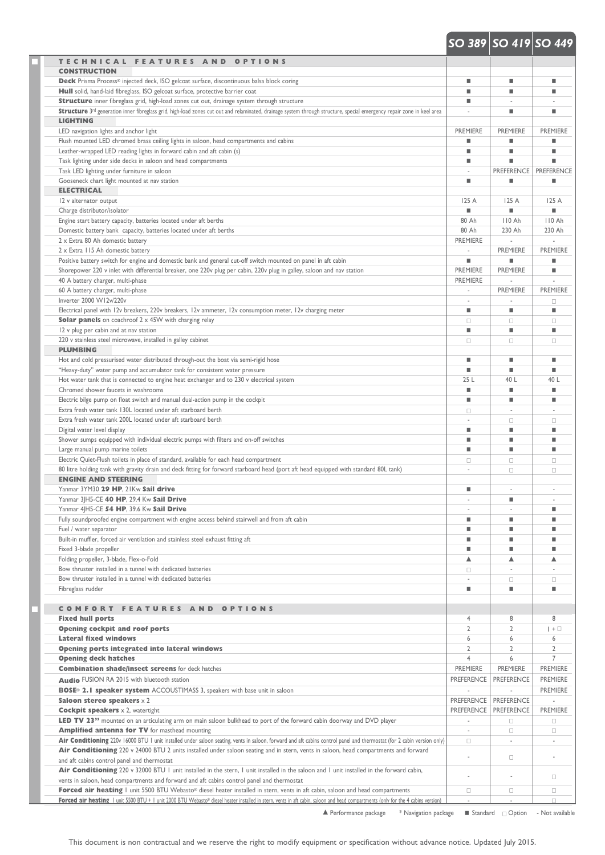## *SO 389 SO 419 SO 449*

| TECHNICAL FEATURES AND OPTIONS<br><b>CONSTRUCTION</b>                                                                                                                                                                                                                                                                            |                                    |                   |                   |
|----------------------------------------------------------------------------------------------------------------------------------------------------------------------------------------------------------------------------------------------------------------------------------------------------------------------------------|------------------------------------|-------------------|-------------------|
| Deck Prisma Process® injected deck, ISO gelcoat surface, discontinuous balsa block coring                                                                                                                                                                                                                                        | ٠                                  | ٠                 | ٠                 |
| Hull solid, hand-laid fibreglass, ISO gelcoat surface, protective barrier coat                                                                                                                                                                                                                                                   | ٠                                  | ٠                 | ٠                 |
| Structure inner fibreglass grid, high-load zones cut out, drainage system through structure                                                                                                                                                                                                                                      | ٠                                  |                   |                   |
| Structure 3rd generation inner fibreglass grid, high-load zones cut out and relaminated, drainage system through structure, special emergency repair zone in keel area                                                                                                                                                           |                                    | ٠                 | ٠                 |
| <b>LIGHTING</b>                                                                                                                                                                                                                                                                                                                  |                                    |                   |                   |
| LED navigation lights and anchor light                                                                                                                                                                                                                                                                                           | <b>PREMIERE</b>                    | <b>PREMIERE</b>   | <b>PREMIERE</b>   |
| Flush mounted LED chromed brass ceiling lights in saloon, head compartments and cabins                                                                                                                                                                                                                                           | ٠                                  | ٠                 |                   |
| Leather-wrapped LED reading lights in forward cabin and aft cabin (s)<br>Task lighting under side decks in saloon and head compartments                                                                                                                                                                                          | ш<br>٠                             | ٠                 | ш<br>٠            |
| Task LED lighting under furniture in saloon                                                                                                                                                                                                                                                                                      |                                    | <b>PREFERENCE</b> | <b>PREFERENCE</b> |
| Gooseneck chart light mounted at nav station                                                                                                                                                                                                                                                                                     | ٠                                  | ٠                 | ٠                 |
| <b>ELECTRICAL</b>                                                                                                                                                                                                                                                                                                                |                                    |                   |                   |
| 12 v alternator output                                                                                                                                                                                                                                                                                                           | 125 A                              | 125 A             | 125A              |
| Charge distributor/isolator                                                                                                                                                                                                                                                                                                      | ٠                                  | ٠                 | ٠                 |
| Engine start battery capacity, batteries located under aft berths                                                                                                                                                                                                                                                                | 80 Ah                              | 110 Ah            | 110 Ah            |
| Domestic battery bank capacity, batteries located under aft berths                                                                                                                                                                                                                                                               | 80 Ah                              | 230 Ah            | 230 Ah            |
| 2 x Extra 80 Ah domestic battery                                                                                                                                                                                                                                                                                                 | <b>PREMIERE</b>                    |                   |                   |
| 2 x Extra 115 Ah domestic battery                                                                                                                                                                                                                                                                                                |                                    | <b>PREMIERE</b>   | <b>PREMIERE</b>   |
| Positive battery switch for engine and domestic bank and general cut-off switch mounted on panel in aft cabin                                                                                                                                                                                                                    | ٠                                  | ٠                 | ٠                 |
| Shorepower 220 v inlet with differential breaker, one 220v plug per cabin, 220v plug in galley, saloon and nav station<br>40 A battery charger, multi-phase                                                                                                                                                                      | <b>PREMIERE</b><br><b>PREMIERE</b> | <b>PREMIERE</b>   | ٠                 |
| 60 A battery charger, multi-phase                                                                                                                                                                                                                                                                                                | ×.                                 | <b>PREMIERE</b>   | PREMIERE          |
| Inverter 2000 W12v/220v                                                                                                                                                                                                                                                                                                          | ä,                                 |                   | $\Box$            |
| Electrical panel with 12v breakers, 220v breakers, 12v ammeter, 12v consumption meter, 12v charging meter                                                                                                                                                                                                                        | ٠                                  | ٠                 | ш                 |
| <b>Solar panels</b> on coachroof 2 x 45W with charging relay                                                                                                                                                                                                                                                                     | $\Box$                             | $\Box$            | $\Box$            |
| 12 v plug per cabin and at nav station                                                                                                                                                                                                                                                                                           | ٠                                  | ٠                 | ш                 |
| 220 v stainless steel microwave, installed in galley cabinet                                                                                                                                                                                                                                                                     | $\Box$                             | $\Box$            | $\Box$            |
| <b>PLUMBING</b>                                                                                                                                                                                                                                                                                                                  |                                    |                   |                   |
| Hot and cold pressurised water distributed through-out the boat via semi-rigid hose                                                                                                                                                                                                                                              | ш                                  | ٠                 | ٠                 |
| "Heavy-duty" water pump and accumulator tank for consistent water pressure                                                                                                                                                                                                                                                       | ٠                                  | ٠                 | ш                 |
| Hot water tank that is connected to engine heat exchanger and to 230 v electrical system                                                                                                                                                                                                                                         | 25 L                               | 40 L              | 40 L              |
| Chromed shower faucets in washrooms                                                                                                                                                                                                                                                                                              | ٠                                  | ٠                 | ш                 |
| Electric bilge pump on float switch and manual dual-action pump in the cockpit                                                                                                                                                                                                                                                   | ٠                                  | ٠                 | ٠                 |
| Extra fresh water tank 130L located under aft starboard berth                                                                                                                                                                                                                                                                    | $\Box$                             |                   |                   |
| Extra fresh water tank 200L located under aft starboard berth<br>Digital water level display                                                                                                                                                                                                                                     | ä,<br>ш                            | $\Box$<br>٠       | $\Box$<br>٠       |
| Shower sumps equipped with individual electric pumps with filters and on-off switches                                                                                                                                                                                                                                            | ٠                                  | ٠                 | ٠                 |
| Large manual pump marine toilets                                                                                                                                                                                                                                                                                                 | ٠                                  | ٠                 | ٠                 |
| Electric Quiet-Flush toilets in place of standard, available for each head compartment                                                                                                                                                                                                                                           | $\Box$                             | $\Box$            | $\Box$            |
| 80 litre holding tank with gravity drain and deck fitting for forward starboard head (port aft head equipped with standard 80L tank)                                                                                                                                                                                             | ä,                                 | $\Box$            | $\Box$            |
| <b>ENGINE AND STEERING</b>                                                                                                                                                                                                                                                                                                       |                                    |                   |                   |
| Yanmar 3YM30 29 HP, 21Kw Sail drive                                                                                                                                                                                                                                                                                              | ٠                                  |                   |                   |
| Yanmar 3 H5-CE 40 HP, 29.4 Kw Sail Drive                                                                                                                                                                                                                                                                                         |                                    | ш                 |                   |
| Yanmar 4 H5-CE 54 HP, 39.6 Kw Sail Drive                                                                                                                                                                                                                                                                                         |                                    |                   | ٠                 |
| Fully soundproofed engine compartment with engine access behind stairwell and from aft cabin                                                                                                                                                                                                                                     | ш                                  | ٠                 | ٠                 |
| Fuel / water separator                                                                                                                                                                                                                                                                                                           | ш                                  | ٠                 | ٠                 |
| Built-in muffler, forced air ventilation and stainless steel exhaust fitting aft                                                                                                                                                                                                                                                 | ш                                  | ٠                 | ٠                 |
| Fixed 3-blade propeller                                                                                                                                                                                                                                                                                                          | ٠                                  | ٠                 | ٠                 |
| Folding propeller, 3-blade, Flex-o-Fold                                                                                                                                                                                                                                                                                          | ▲                                  | ▲                 | ▲                 |
| Bow thruster installed in a tunnel with dedicated batteries<br>Bow thruster installed in a tunnel with dedicated batteries                                                                                                                                                                                                       | $\Box$                             |                   |                   |
| Fibreglass rudder                                                                                                                                                                                                                                                                                                                | ٠                                  | $\Box$<br>٠       | $\Box$<br>٠       |
|                                                                                                                                                                                                                                                                                                                                  |                                    |                   |                   |
| <b>COMFORT FEATURES AND OPTIONS</b>                                                                                                                                                                                                                                                                                              |                                    |                   |                   |
| <b>Fixed hull ports</b>                                                                                                                                                                                                                                                                                                          | $\overline{4}$                     | 8                 | 8                 |
| <b>Opening cockpit and roof ports</b>                                                                                                                                                                                                                                                                                            | $\overline{2}$                     | $\overline{2}$    | $  + \square$     |
| <b>Lateral fixed windows</b>                                                                                                                                                                                                                                                                                                     | 6                                  | 6                 | 6                 |
| <b>Opening ports integrated into lateral windows</b>                                                                                                                                                                                                                                                                             | $\overline{2}$                     | $\overline{2}$    | $\overline{2}$    |
| <b>Opening deck hatches</b>                                                                                                                                                                                                                                                                                                      | $\overline{4}$                     | 6                 | $\overline{7}$    |
| <b>Combination shade/insect screens</b> for deck hatches                                                                                                                                                                                                                                                                         | <b>PREMIERE</b>                    | <b>PREMIERE</b>   | PREMIERE          |
| Audio FUSION RA 2015 with bluetooth station                                                                                                                                                                                                                                                                                      | <b>PREFERENCE</b>                  | <b>PREFERENCE</b> | <b>PREMIERE</b>   |
| BOSE <sup>®</sup> 2.1 speaker system ACCOUSTIMASS 3, speakers with base unit in saloon                                                                                                                                                                                                                                           | ÷.                                 |                   | <b>PREMIERE</b>   |
| Saloon stereo speakers $\times$ 2                                                                                                                                                                                                                                                                                                | <b>PREFERENCE</b>                  | <b>PREFERENCE</b> |                   |
| <b>Cockpit speakers</b> $\times$ 2, watertight                                                                                                                                                                                                                                                                                   | <b>PREFERENCE</b>                  | <b>PREFERENCE</b> | PREMIERE          |
| LED TV 23" mounted on an articulating arm on main saloon bulkhead to port of the forward cabin doorway and DVD player                                                                                                                                                                                                            | $\omega$                           | $\Box$            | $\Box$            |
| <b>Amplified antenna for TV</b> for masthead mounting                                                                                                                                                                                                                                                                            | ÷.                                 | $\Box$            | $\Box$            |
| Air Conditioning 220v 16000 BTU 1 unit installed under saloon seating, vents in saloon, forward and aft cabins control panel and thermostat (for 2 cabin version only)                                                                                                                                                           | $\Box$                             |                   | ×.                |
|                                                                                                                                                                                                                                                                                                                                  |                                    |                   | ä,                |
|                                                                                                                                                                                                                                                                                                                                  | ä,                                 | 0                 |                   |
|                                                                                                                                                                                                                                                                                                                                  |                                    |                   |                   |
| Air Conditioning 220 v 24000 BTU 2 units installed under saloon seating and in stern, vents in saloon, head compartments and forward<br>and aft cabins control panel and thermostat<br>Air Conditioning 220 v 32000 BTU I unit installed in the stern, I unit installed in the saloon and I unit installed in the forward cabin, | ä,                                 |                   | $\Box$            |
| vents in saloon, head compartments and forward and aft cabins control panel and thermostat<br>Forced air heating I unit 5500 BTU Webasto® diesel heater installed in stern, vents in aft cabin, saloon and head compartments                                                                                                     | $\Box$                             | $\Box$            | $\Box$            |